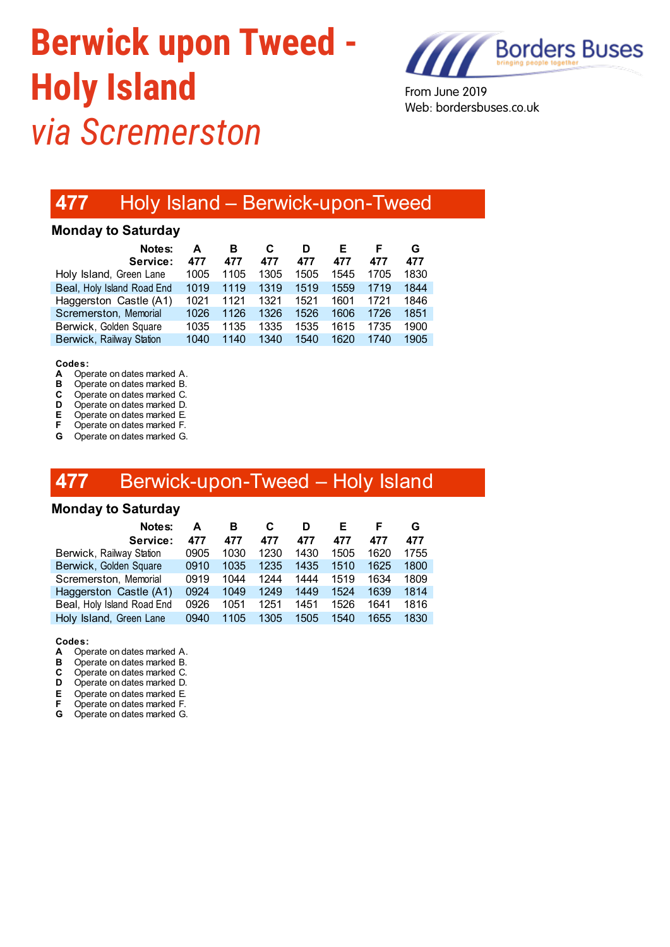# **Berwick upon Tweed - Holy Island** *via Scremerston*



From June 2019 Web: bordersbuses.co.uk

# **477** Holy Island – Berwick-upon-Tweed

### **Monday to Saturday**

| Notes:<br>Service:         | А<br>477 | в<br>477 | 477  | D<br>477 | Е<br>477 | 477  | G<br>477 |
|----------------------------|----------|----------|------|----------|----------|------|----------|
| Holy Island, Green Lane    | 1005     | 1105     | 1305 | 1505     | 1545     | 1705 | 1830     |
| Beal, Holy Island Road End | 1019     | 1119     | 1319 | 1519     | 1559     | 1719 | 1844     |
| Haggerston Castle (A1)     | 1021     | 1121     | 1321 | 1521     | 1601     | 1721 | 1846     |
| Scremerston, Memorial      | 1026     | 1126     | 1326 | 1526     | 1606     | 1726 | 1851     |
| Berwick, Golden Square     | 1035     | 1135     | 1335 | 1535     | 1615     | 1735 | 1900     |
| Berwick, Railway Station   | 1040     | 1140     | 1340 | 1540     | 1620     | 1740 | 1905     |

## Codes:<br>A One

- **A** Operate on dates marked A.<br>**B** Operate on dates marked B.
- **B** Operate on dates marked B.<br>**C** Operate on dates marked C.
- **C** Operate on dates marked C.<br>**D** Operate on dates marked D.
- **D** Operate on dates marked D.<br>**F** Operate on dates marked F
- **E** Operate on dates marked E.<br>**F** Operate on dates marked F. **P** Operate on dates marked F.
- **G** Operate on dates marked G.

## **477** Berwick-upon-Tweed – Holy Island

### **Monday to Saturday**

| Notes:                     | А    | в    |      | D    |      |      | G    |
|----------------------------|------|------|------|------|------|------|------|
| Service:                   | 477  | 477  | 477  | 477  | 477  | 477  | 477  |
| Berwick, Railway Station   | 0905 | 1030 | 1230 | 1430 | 1505 | 1620 | 1755 |
| Berwick, Golden Square     | 0910 | 1035 | 1235 | 1435 | 1510 | 1625 | 1800 |
| Scremerston, Memorial      | 0919 | 1044 | 1244 | 1444 | 1519 | 1634 | 1809 |
| Haggerston Castle (A1)     | 0924 | 1049 | 1249 | 1449 | 1524 | 1639 | 1814 |
| Beal, Holy Island Road End | 0926 | 1051 | 1251 | 1451 | 1526 | 1641 | 1816 |
| Holy Island, Green Lane    | 0940 | 1105 | 1305 | 1505 | 1540 | 1655 | 1830 |
|                            |      |      |      |      |      |      |      |

**Codes:**

- **A** Operate on dates marked A.
- **B** Operate on dates marked B.<br>**C** Operate on dates marked C.
- **C** Operate on dates marked C.<br>**D** Operate on dates marked D.
- **D** Operate on dates marked D.<br>**E** Operate on dates marked E.
- **E** Operate on dates marked E.<br>**F** Operate on dates marked F. **Operate on dates marked F.**
- **G** Operate on dates marked G.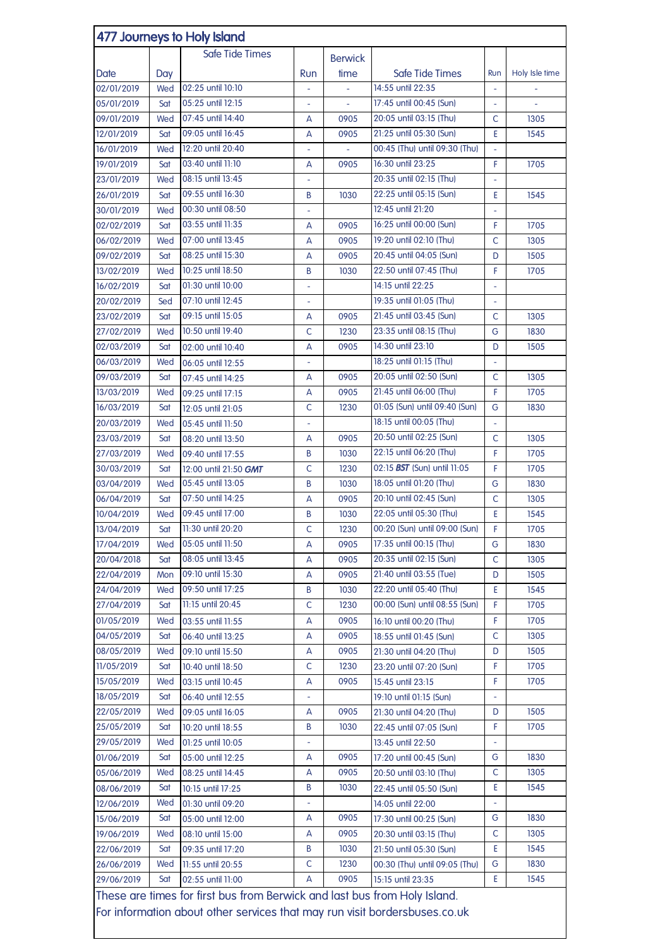| 477 Journeys to Holy Island                                                                                                                             |            |                                            |                          |                |                               |                          |                |  |
|---------------------------------------------------------------------------------------------------------------------------------------------------------|------------|--------------------------------------------|--------------------------|----------------|-------------------------------|--------------------------|----------------|--|
|                                                                                                                                                         |            | Safe Tide Times                            |                          | <b>Berwick</b> |                               |                          |                |  |
| Date                                                                                                                                                    | Day        |                                            | Run                      | time           | Safe Tide Times               | Run                      | Holy Isle time |  |
| 02/01/2019                                                                                                                                              | Wed        | 02:25 until 10:10                          |                          |                | 14:55 until 22:35             | $\overline{\phantom{a}}$ |                |  |
| 05/01/2019                                                                                                                                              | Sat        | 05:25 until 12:15                          | ÷,                       | $\overline{a}$ | 17:45 until 00:45 (Sun)       | $\bar{\phantom{a}}$      |                |  |
| 09/01/2019                                                                                                                                              | Wed        | 07:45 until 14:40                          | A                        | 0905           | 20:05 until 03:15 (Thu)       | C                        | 1305           |  |
| 12/01/2019                                                                                                                                              | Sat        | 09:05 until 16:45                          | А                        | 0905           | 21:25 until 05:30 (Sun)       | Ε                        | 1545           |  |
| 16/01/2019                                                                                                                                              | Wed        | 12:20 until 20:40                          | $\overline{\phantom{0}}$ |                | 00:45 (Thu) until 09:30 (Thu) | ä,                       |                |  |
| 19/01/2019                                                                                                                                              | Sat        | 03:40 until 11:10                          | A                        | 0905           | 16:30 until 23:25             | F                        | 1705           |  |
| 23/01/2019                                                                                                                                              | Wed        | 08:15 until 13:45                          |                          |                | 20:35 until 02:15 (Thu)       |                          |                |  |
| 26/01/2019                                                                                                                                              | Sat        | 09:55 until 16:30                          | B                        | 1030           | 22:25 until 05:15 (Sun)       | E                        | 1545           |  |
| 30/01/2019                                                                                                                                              | Wed        | 00:30 until 08:50                          | ÷,                       |                | 12:45 until 21:20             |                          |                |  |
| 02/02/2019                                                                                                                                              | Sat        | 03:55 until 11:35                          | А                        | 0905           | 16:25 until 00:00 (Sun)       | F                        | 1705           |  |
| 06/02/2019                                                                                                                                              | Wed        | 07:00 until 13:45                          | A                        | 0905           | 19:20 until 02:10 (Thu)       | C                        | 1305           |  |
| 09/02/2019                                                                                                                                              | Sat        | 08:25 until 15:30                          | А                        | 0905           | 20:45 until 04:05 (Sun)       | D                        | 1505           |  |
| 13/02/2019                                                                                                                                              | Wed        | 10:25 until 18:50                          | B                        | 1030           | 22:50 until 07:45 (Thu)       | F                        | 1705           |  |
| 16/02/2019                                                                                                                                              | Sat        | 01:30 until 10:00                          | $\overline{\phantom{0}}$ |                | 14:15 until 22:25             | $\overline{a}$           |                |  |
| 20/02/2019                                                                                                                                              | Sed        | 07:10 until 12:45                          |                          |                | 19:35 until 01:05 (Thu)       | $\bar{\phantom{a}}$      |                |  |
| 23/02/2019                                                                                                                                              | Sat        | 09:15 until 15:05                          |                          | 0905           | 21:45 until 03:45 (Sun)       | C                        | 1305           |  |
| 27/02/2019                                                                                                                                              | Wed        | 10:50 until 19:40                          | A<br>C                   | 1230           | 23:35 until 08:15 (Thu)       | G                        | 1830           |  |
| 02/03/2019                                                                                                                                              | Sat        |                                            | А                        | 0905           | 14:30 until 23:10             | D                        | 1505           |  |
| 06/03/2019                                                                                                                                              | Wed        | 02:00 until 10:40                          |                          |                | 18:25 until 01:15 (Thu)       |                          |                |  |
| 09/03/2019                                                                                                                                              | Sat        | 06:05 until 12:55                          |                          | 0905           | 20:05 until 02:50 (Sun)       | C                        | 1305           |  |
| 13/03/2019                                                                                                                                              |            | 07:45 until 14:25                          | A                        | 0905           | 21:45 until 06:00 (Thu)       | F                        | 1705           |  |
| 16/03/2019                                                                                                                                              | Wed<br>Sat | 09:25 until 17:15                          | A<br>C                   | 1230           | 01:05 (Sun) until 09:40 (Sun) | G                        | 1830           |  |
|                                                                                                                                                         | Wed        | 12:05 until 21:05                          |                          |                | 18:15 until 00:05 (Thu)       |                          |                |  |
| 20/03/2019                                                                                                                                              |            | 05:45 until 11:50                          |                          | 0905           | 20:50 until 02:25 (Sun)       | C                        | 1305           |  |
| 23/03/2019                                                                                                                                              | Sat        | 08:20 until 13:50                          | A                        |                | 22:15 until 06:20 (Thu)       | F                        |                |  |
| 27/03/2019                                                                                                                                              | Wed        | 09:40 until 17:55                          | B<br>$\mathsf C$         | 1030           | 02:15 BST (Sun) until 11:05   | F                        | 1705<br>1705   |  |
| 30/03/2019                                                                                                                                              | Sat        | 12:00 until 21:50 GMT<br>05:45 until 13:05 |                          | 1230           | 18:05 until 01:20 (Thu)       |                          |                |  |
| 03/04/2019                                                                                                                                              | Wed        | 07:50 until 14:25                          | B                        | 1030           | 20:10 until 02:45 (Sun)       | G<br>C                   | 1830           |  |
| 06/04/2019<br>10/04/2019                                                                                                                                | Sat<br>Wed | 09:45 until 17:00                          | A                        | 0905<br>1030   | 22:05 until 05:30 (Thu)       | Ε                        | 1305<br>1545   |  |
|                                                                                                                                                         |            | 11:30 until 20:20                          | B                        |                | 00:20 (Sun) until 09:00 (Sun) | F                        |                |  |
| 13/04/2019                                                                                                                                              | Sat        | 05:05 until 11:50                          | С                        | 1230           | 17:35 until 00:15 (Thu)       | G                        | 1705           |  |
| 17/04/2019<br>20/04/2018                                                                                                                                | Wed        | 08:05 until 13:45                          | A                        | 0905           | 20:35 until 02:15 (Sun)       | C                        | 1830           |  |
| 22/04/2019                                                                                                                                              | Sat        | 09:10 until 15:30                          | A                        | 0905<br>0905   | 21:40 until 03:55 (Tue)       |                          | 1305<br>1505   |  |
| 24/04/2019                                                                                                                                              | Mon        | 09:50 until 17:25                          | A<br>B                   | 1030           | 22:20 until 05:40 (Thu)       | D<br>E                   | 1545           |  |
|                                                                                                                                                         | Wed        | 11:15 until 20:45                          | C                        |                | 00:00 (Sun) until 08:55 (Sun) | F                        | 1705           |  |
| 27/04/2019<br>01/05/2019                                                                                                                                | Sat        |                                            |                          | 1230<br>0905   |                               | F                        | 1705           |  |
|                                                                                                                                                         | Wed        | 03:55 until 11:55                          | A                        |                | 16:10 until 00:20 (Thu)       |                          |                |  |
| 04/05/2019<br>08/05/2019                                                                                                                                | Sat        | 06:40 until 13:25                          | A                        | 0905<br>0905   | 18:55 until 01:45 (Sun)       | C<br>D                   | 1305<br>1505   |  |
|                                                                                                                                                         | Wed        | 09:10 until 15:50                          | А                        |                | 21:30 until 04:20 (Thu)       |                          |                |  |
| 11/05/2019                                                                                                                                              | Sat        | 10:40 until 18:50                          | C                        | 1230           | 23:20 until 07:20 (Sun)       | F                        | 1705           |  |
| 15/05/2019                                                                                                                                              | Wed        | 03:15 until 10:45                          | A                        | 0905           | 15:45 until 23:15             | F                        | 1705           |  |
| 18/05/2019                                                                                                                                              | Sat        | 06:40 until 12:55                          | $\overline{\phantom{0}}$ |                | 19:10 until 01:15 (Sun)       | ÷                        |                |  |
| 22/05/2019                                                                                                                                              | Wed        | 09:05 until 16:05                          | A                        | 0905           | 21:30 until 04:20 (Thu)       | D                        | 1505           |  |
| 25/05/2019                                                                                                                                              | Sat        | 10:20 until 18:55                          | B                        | 1030           | 22:45 until 07:05 (Sun)       | F                        | 1705           |  |
| 29/05/2019                                                                                                                                              | Wed        | 01:25 until 10:05                          | ÷                        |                | 13:45 until 22:50             |                          |                |  |
| 01/06/2019                                                                                                                                              | Sat        | 05:00 until 12:25                          | A                        | 0905           | 17:20 until 00:45 (Sun)       | G                        | 1830           |  |
| 05/06/2019                                                                                                                                              | Wed        | 08:25 until 14:45                          | A                        | 0905           | 20:50 until 03:10 (Thu)       | C                        | 1305           |  |
| 08/06/2019                                                                                                                                              | Sat        | 10:15 until 17:25                          | B                        | 1030           | 22:45 until 05:50 (Sun)       | Ε                        | 1545           |  |
| 12/06/2019                                                                                                                                              | Wed        | 01:30 until 09:20                          | ÷,                       |                | 14:05 until 22:00             | ÷,                       |                |  |
| 15/06/2019                                                                                                                                              | Sat        | 05:00 until 12:00                          | A                        | 0905           | 17:30 until 00:25 (Sun)       | G                        | 1830           |  |
| 19/06/2019                                                                                                                                              | Wed        | 08:10 until 15:00                          | A                        | 0905           | 20:30 until 03:15 (Thu)       | C                        | 1305           |  |
| 22/06/2019                                                                                                                                              | Sat        | 09:35 until 17:20                          | B                        | 1030           | 21:50 until 05:30 (Sun)       | Ε                        | 1545           |  |
| 26/06/2019                                                                                                                                              | Wed        | 11:55 until 20:55                          | C                        | 1230           | 00:30 (Thu) until 09:05 (Thu) | G                        | 1830           |  |
| 29/06/2019                                                                                                                                              | Sat        | 02:55 until 11:00                          | A                        | 0905           | 15:15 until 23:35             | E                        | 1545           |  |
| These are times for first bus from Berwick and last bus from Holy Island.<br>For information about other services that may run visit bordersbuses.co.uk |            |                                            |                          |                |                               |                          |                |  |